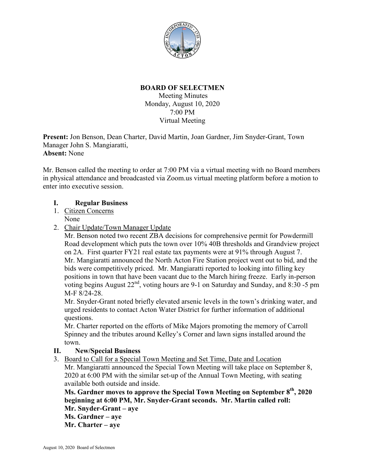

## **BOARD OF SELECTMEN**

Meeting Minutes Monday, August 10, 2020 7:00 PM Virtual Meeting

**Present:** Jon Benson, Dean Charter, David Martin, Joan Gardner, Jim Snyder-Grant, Town Manager John S. Mangiaratti, **Absent:** None

Mr. Benson called the meeting to order at 7:00 PM via a virtual meeting with no Board members in physical attendance and broadcasted via Zoom.us virtual meeting platform before a motion to enter into executive session.

## **I. Regular Business**

- 1. Citizen Concerns None
- 2. Chair Update/Town Manager Update

Mr. Benson noted two recent ZBA decisions for comprehensive permit for Powdermill Road development which puts the town over 10% 40B thresholds and Grandview project on 2A. First quarter FY21 real estate tax payments were at 91% through August 7. Mr. Mangiaratti announced the North Acton Fire Station project went out to bid, and the bids were competitively priced. Mr. Mangiaratti reported to looking into filling key positions in town that have been vacant due to the March hiring freeze. Early in-person voting begins August  $22<sup>nd</sup>$ , voting hours are 9-1 on Saturday and Sunday, and 8:30 -5 pm M-F 8/24-28.

Mr. Snyder-Grant noted briefly elevated arsenic levels in the town's drinking water, and urged residents to contact Acton Water District for further information of additional questions.

Mr. Charter reported on the efforts of Mike Majors promoting the memory of Carroll Spinney and the tributes around Kelley's Corner and lawn signs installed around the town.

## **II. New/Special Business**

3. Board to Call for a Special Town Meeting and Set Time, Date and Location

Mr. Mangiaratti announced the Special Town Meeting will take place on September 8, 2020 at 6:00 PM with the similar set-up of the Annual Town Meeting, with seating available both outside and inside.

**Ms. Gardner moves to approve the Special Town Meeting on September 8th, 2020 beginning at 6:00 PM, Mr. Snyder-Grant seconds. Mr. Martin called roll: Mr. Snyder-Grant – aye Ms. Gardner – aye**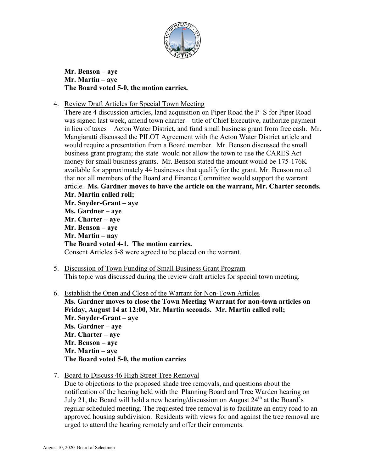

**Mr. Benson – aye Mr. Martin – aye The Board voted 5-0, the motion carries.**

4. Review Draft Articles for Special Town Meeting

There are 4 discussion articles, land acquisition on Piper Road the P+S for Piper Road was signed last week, amend town charter – title of Chief Executive, authorize payment in lieu of taxes – Acton Water District, and fund small business grant from free cash. Mr. Mangiaratti discussed the PILOT Agreement with the Acton Water District article and would require a presentation from a Board member. Mr. Benson discussed the small business grant program; the state would not allow the town to use the CARES Act money for small business grants. Mr. Benson stated the amount would be 175-176K available for approximately 44 businesses that qualify for the grant. Mr. Benson noted that not all members of the Board and Finance Committee would support the warrant article. **Ms. Gardner moves to have the article on the warrant, Mr. Charter seconds. Mr. Martin called roll; Mr. Snyder-Grant – aye Ms. Gardner – aye Mr. Charter – aye Mr. Benson – aye Mr. Martin – nay The Board voted 4-1. The motion carries.** Consent Articles 5-8 were agreed to be placed on the warrant.

- 5. Discussion of Town Funding of Small Business Grant Program This topic was discussed during the review draft articles for special town meeting.
- 6. Establish the Open and Close of the Warrant for Non-Town Articles **Ms. Gardner moves to close the Town Meeting Warrant for non-town articles on Friday, August 14 at 12:00, Mr. Martin seconds. Mr. Martin called roll; Mr. Snyder-Grant – aye Ms. Gardner – aye Mr. Charter – aye Mr. Benson – aye Mr. Martin – aye The Board voted 5-0, the motion carries**
- 7. Board to Discuss 46 High Street Tree Removal

Due to objections to the proposed shade tree removals, and questions about the notification of the hearing held with the Planning Board and Tree Warden hearing on July 21, the Board will hold a new hearing/discussion on August 24<sup>th</sup> at the Board's regular scheduled meeting. The requested tree removal is to facilitate an entry road to an approved housing subdivision. Residents with views for and against the tree removal are urged to attend the hearing remotely and offer their comments.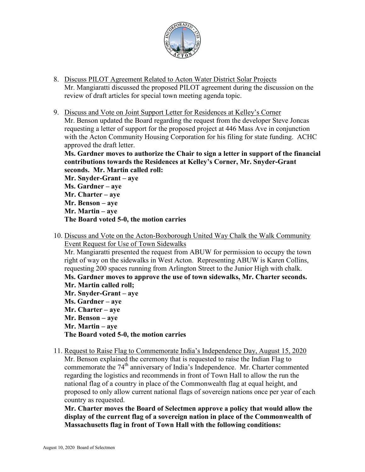

- 8. Discuss PILOT Agreement Related to Acton Water District Solar Projects Mr. Mangiaratti discussed the proposed PILOT agreement during the discussion on the review of draft articles for special town meeting agenda topic.
- 9. Discuss and Vote on Joint Support Letter for Residences at Kelley's Corner Mr. Benson updated the Board regarding the request from the developer Steve Joncas requesting a letter of support for the proposed project at 446 Mass Ave in conjunction with the Acton Community Housing Corporation for his filing for state funding. ACHC approved the draft letter.

**Ms. Gardner moves to authorize the Chair to sign a letter in support of the financial contributions towards the Residences at Kelley's Corner, Mr. Snyder-Grant seconds. Mr. Martin called roll:**

**Mr. Snyder-Grant – aye Ms. Gardner – aye Mr. Charter – aye Mr. Benson – aye Mr. Martin – aye The Board voted 5-0, the motion carries**

- 10. Discuss and Vote on the Acton-Boxborough United Way Chalk the Walk Community Event Request for Use of Town Sidewalks Mr. Mangiaratti presented the request from ABUW for permission to occupy the town right of way on the sidewalks in West Acton. Representing ABUW is Karen Collins, requesting 200 spaces running from Arlington Street to the Junior High with chalk. **Ms. Gardner moves to approve the use of town sidewalks, Mr. Charter seconds. Mr. Martin called roll; Mr. Snyder-Grant – aye Ms. Gardner – aye Mr. Charter – aye Mr. Benson – aye Mr. Martin – aye The Board voted 5-0, the motion carries**
- 11. Request to Raise Flag to Commemorate India's Independence Day, August 15, 2020 Mr. Benson explained the ceremony that is requested to raise the Indian Flag to commemorate the 74<sup>th</sup> anniversary of India's Independence. Mr. Charter commented regarding the logistics and recommends in front of Town Hall to allow the run the national flag of a country in place of the Commonwealth flag at equal height, and proposed to only allow current national flags of sovereign nations once per year of each country as requested.

**Mr. Charter moves the Board of Selectmen approve a policy that would allow the display of the current flag of a sovereign nation in place of the Commonwealth of Massachusetts flag in front of Town Hall with the following conditions:**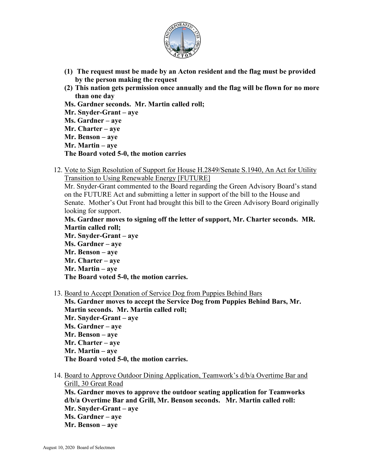

- **(1) The request must be made by an Acton resident and the flag must be provided by the person making the request**
- **(2) This nation gets permission once annually and the flag will be flown for no more than one day**
- **Ms. Gardner seconds. Mr. Martin called roll;**
- **Mr. Snyder-Grant – aye**
- **Ms. Gardner – aye**
- **Mr. Charter – aye**
- **Mr. Benson – aye**
- **Mr. Martin – aye**
- **The Board voted 5-0, the motion carries**
- 12. Vote to Sign Resolution of Support for House H.2849/Senate S.1940, An Act for Utility Transition to Using Renewable Energy [FUTURE]

Mr. Snyder-Grant commented to the Board regarding the Green Advisory Board's stand on the FUTURE Act and submitting a letter in support of the bill to the House and Senate. Mother's Out Front had brought this bill to the Green Advisory Board originally looking for support.

**Ms. Gardner moves to signing off the letter of support, Mr. Charter seconds. MR. Martin called roll;**

**Mr. Snyder-Grant – aye Ms. Gardner – aye Mr. Benson – aye Mr. Charter – aye Mr. Martin – aye The Board voted 5-0, the motion carries.**

13. Board to Accept Donation of Service Dog from Puppies Behind Bars

**Ms. Gardner moves to accept the Service Dog from Puppies Behind Bars, Mr. Martin seconds. Mr. Martin called roll; Mr. Snyder-Grant – aye Ms. Gardner – aye Mr. Benson – aye Mr. Charter – aye Mr. Martin – aye The Board voted 5-0, the motion carries.**

14. Board to Approve Outdoor Dining Application, Teamwork's d/b/a Overtime Bar and Grill, 30 Great Road **Ms. Gardner moves to approve the outdoor seating application for Teamworks d/b/a Overtime Bar and Grill, Mr. Benson seconds. Mr. Martin called roll: Mr. Snyder-Grant – aye Ms. Gardner – aye Mr. Benson – aye**